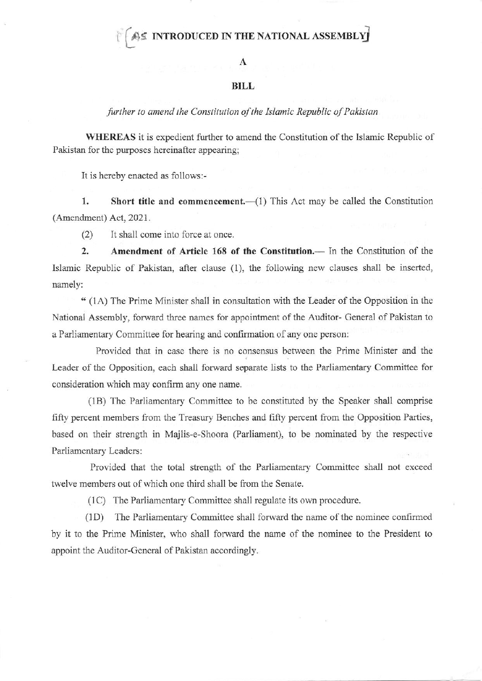## $\hat{A}$ g INTRODUCED IN THE NATIONAL ASSEMBLY

## $\mathbf{A}$

## **BILL**

further to amend the Constitution of the Islamic Republic of Pakistan

WHEREAS it is expedient further to amend the Constitution of the Islamic Republic of Pakistan for the purposes hereinafter appearing:

It is hereby enacted as follows:-

1. Short title and commencement.—(1) This Act may be called the Constitution (Amendment) Act, 2021.

(2) It shall come into force at once.

2. Amendment of Article 168 of the Constitution.- In the Constitution of the Islamic Republic of Pakistan, after clause (1), the following new clauses shall be inserted, namely:

" (1A) The Prime Minister shall in consultation with the Leader of the Opposition in the National Assembly. forward three narnes for appointment of the Auditor- General of Pakistan to a Parliamentary Committee for hearing and confimation of any one person:

Provided that in case there is no consensus between the Prime Minister and the Leader of the Opposition, each shall forward separate lists to the Parliamentary Committee for consideration which may confirm any one name.

(1B) The Parliamentary Committee to be constituted by the Speaker shall comprise fifty percent members from the Treasury Benches and fifty percent from the Opposition Parties, based on their strength in Majlis-e-Shoora (Parliament), to be nominated by the respective Parliamentary Leaders:

Provided that the total strength of the Parliamentary Comnittee shall not exceed twelve members out of which one third shall be fiom the Senate.

(1C) The Parliamentary Committee shall regulate its own procedure.

(1D) The Parliamentary Committee shall forward the name of the nominee confirmed by it to the Prime Minister, who shall forward the name of the nominee to the President to appoint the Auditor-General of Pakistan accordingly.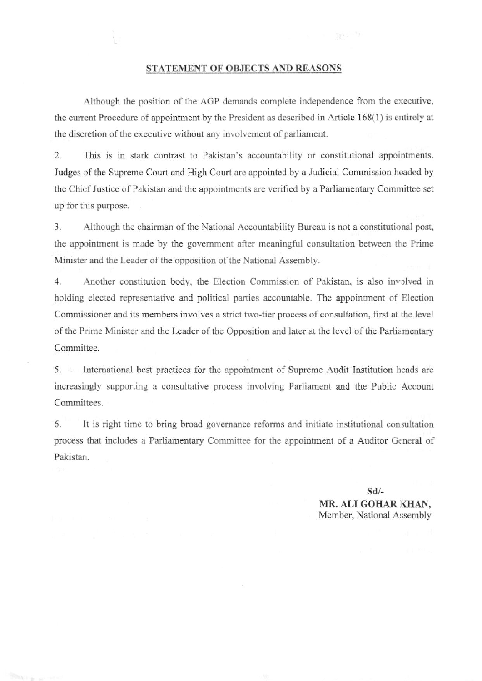## STATEMENT OF OBJECTS AND REASONS

ges tr

Although the position of the AGP demands complete independence from the executive, the current Procedure of appointment by the President as described in Article 168(1) is entirely at the discretion of the executive without any involvement of parliament.

2. This is in stark contrast to Pakistan's accountability or constitutional appointments. Judges of the Supreme Court and High Court are appointed by a Judicial Commission headed by the Chief Justice of Pakistan and the appointments are verified by a Parliamentary Committee set up for this purpose.

3. Although the chairman of the National Accountability Bureau is not a constitutional post, the appointment is made by the government after meaningful consultation between the Prime Minister and the Leader of the opposition of the National Assembly.

 $4.$ Another constitution body, the Election Commission of Pakistan, is also involved in holding elected representative and political parties accountable. The appointment of Election Commissioner and its members involves a strict two-tier process of consultation, first at the level of the Prime Minister and the Leader of the Opposition and later at the level of the Parliamentary Committee.

International best practices for the appointment of Supreme Audit Institution heads are  $5.$ increasingly supporting a consultative process involving Parliament and the Public Account Committees.

6. It is right time to bring broad governance reforms and initiate institutional consultation process that includes a Parliamentary Committee for the appointment of a Auditor General of Pakistan.

> $Sd/-$ MR. ALI GOHAR KHAN, Member, National Assembly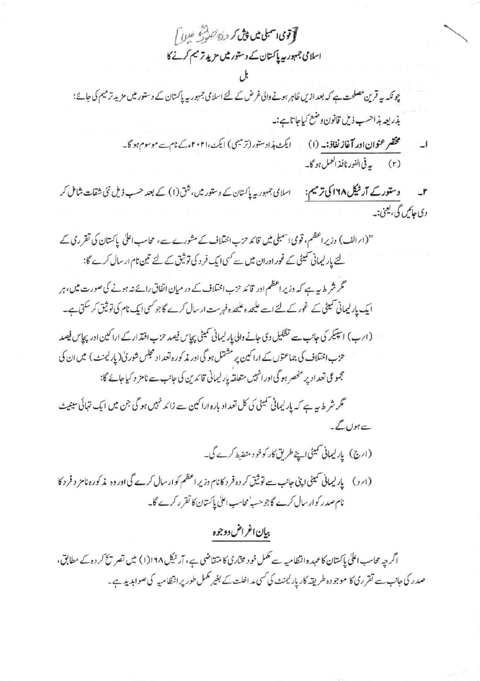**آقوی اسمبلی میں پیش کر درج کشور میں اسمبلی شروع آ** اسلامی جمہور ہیں پاکستان کے دستور میں مزید تر میم کرنے کا

چونکہ یہ قرین مصلحت ہے کہ بعد ازیں ظاہر ہونے والی غرض کے لئے اسلامی جمہوریہ پاکستان کے دستور میں مزید ترمیم کی جائے؛ بذريعه بذاحسب ذيل قانون وضع كبإجاتا ہے:۔

> مختصر عنوان اور **آغاز نفاذ:۔** (۱) ایکٹ ہذادستور (ترمیمی) ایکٹ،۲۰۲۱ءکے نام سے موسوم ہو گا۔ (۲) \_\_ به في الفور نافذ العمل ہو گا۔

وستورکے **آرٹیکل ۱۶۸ کی ترمیم:** اسلامی جمہوریہ پاکستان کے دستور میں، شق(۱) کے بعد حسب ذیل نئی شقات شامل کر  $\mathbf{r}$ دی حاص گی، یعنی:۔

"(ارالف) وزیر اعظم، قومی اسمبلی میں قائد حزب اختلاف کے مشورے ہے، محاسب اعلٰی پاکستان کی تقرری کے لئے پار لیمانی سمیٹی کے غور اوران میں سے کسی ایک فر د کی توثیق کے لئے تین نام ار سال کرے گا:

گر شر ط بہ ہے کہ وزیر اعظم اور قائد حزب اختلاف کے در میان اتفاق رائے نہ ہونے کی صورت میں، ہر ایک پارلیمانی سمیٹی کے غور کے لئے اسے علیحدہ علیحدہ فہرست ارسال کرے گاجو کسی ایک نام کی توثیق کر سکتی ہے۔

(ارب) اسپیکر کی جانب سے تفکیل دی جانے والی پارلیمانی سمیٹی پیاس فیصد حزب اقتدار کے اراکین اور پیاس فیصد حزب اختلاف کی جماعتوں کے اراکین پر مشتمل ہو گی اور مذکورہ تعداد مجلس شور کی( پارلیمنٹ ) میں ان کی مجموعی تعداد پر منحصر ہو گی اور انہیں متعلقہ پارلیمانی قائدین کی جانب سے نامز د کیاجائے گا:

گر شر ط یہ ہے کہ پارلیمانی سمیٹی کی کل تعداد بارہ اراکین سے زائد نہیں ہو گی جن میں ایک تہائی سینیٹ ہے ہوں گے۔

(ارج) پارلیمانی سمیٹی اپنے طریق کار کوخو د منضبط کرے گی۔

(ابرد) پارلیمانی سمیٹی اپنی جانب سے توثیق کر دہ فر د کانام وزیر اعظم کو ارسال کرے گی اور وہ مذکورہ نامز د فر د کا نام صدر کوار سال کرے گاجو حسبہ محاسب اعلٰیٰ پاکستان کا تقر رکرے گا۔

بيان اغراض دوجوه

اگر چہ محاسب اعلٰی پاکستان کا عہدہ انتظامیہ سے مکمل خود مخاری کا متقاضی ہے، آر ٹیکل ۱۶۱۸(۱) میں تصر پخ کر دہ کے مطابق، صدر کی جانب سے تقرری کا موجو دہ طریقہ کاریار کیمنٹ کی کسی مداخلت کے بغیر مکمل طور پر انتظامیہ کی صوابدید ہے۔